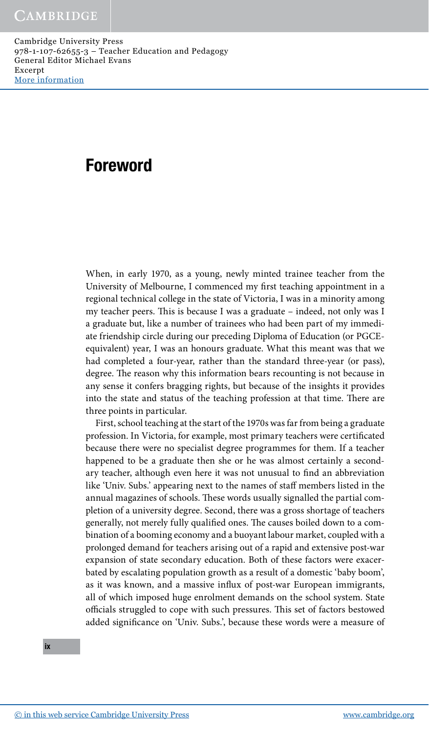# Foreword

 When, in early 1970, as a young, newly minted trainee teacher from the University of Melbourne, I commenced my first teaching appointment in a regional technical college in the state of Victoria, I was in a minority among my teacher peers. This is because I was a graduate - indeed, not only was I a graduate but, like a number of trainees who had been part of my immediate friendship circle during our preceding Diploma of Education (or PGCEequivalent) year, I was an honours graduate. What this meant was that we had completed a four-year, rather than the standard three-year (or pass), degree. The reason why this information bears recounting is not because in any sense it confers bragging rights, but because of the insights it provides into the state and status of the teaching profession at that time. There are three points in particular.

 First, school teaching at the start of the 1970s was far from being a graduate profession. In Victoria, for example, most primary teachers were certificated because there were no specialist degree programmes for them. If a teacher happened to be a graduate then she or he was almost certainly a secondary teacher, although even here it was not unusual to find an abbreviation like 'Univ. Subs.' appearing next to the names of staff members listed in the annual magazines of schools. These words usually signalled the partial completion of a university degree. Second, there was a gross shortage of teachers generally, not merely fully qualified ones. The causes boiled down to a combination of a booming economy and a buoyant labour market, coupled with a prolonged demand for teachers arising out of a rapid and extensive post-war expansion of state secondary education. Both of these factors were exacerbated by escalating population growth as a result of a domestic 'baby boom', as it was known, and a massive influx of post-war European immigrants, all of which imposed huge enrolment demands on the school system. State officials struggled to cope with such pressures. This set of factors bestowed added significance on 'Univ. Subs.', because these words were a measure of

ix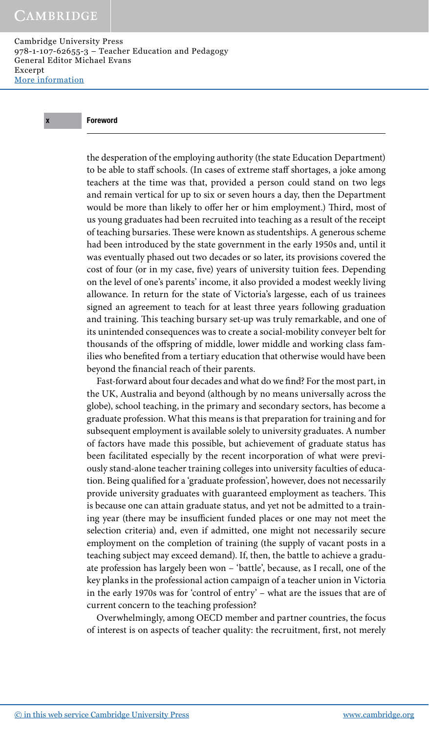## x Foreword

the desperation of the employing authority (the state Education Department) to be able to staff schools. (In cases of extreme staff shortages, a joke among teachers at the time was that, provided a person could stand on two legs and remain vertical for up to six or seven hours a day, then the Department would be more than likely to offer her or him employment.) Third, most of us young graduates had been recruited into teaching as a result of the receipt of teaching bursaries. These were known as studentships. A generous scheme had been introduced by the state government in the early 1950s and, until it was eventually phased out two decades or so later, its provisions covered the cost of four (or in my case, five) years of university tuition fees. Depending on the level of one's parents' income, it also provided a modest weekly living allowance. In return for the state of Victoria's largesse, each of us trainees signed an agreement to teach for at least three years following graduation and training. This teaching bursary set-up was truly remarkable, and one of its unintended consequences was to create a social-mobility conveyer belt for thousands of the offspring of middle, lower middle and working class families who benefited from a tertiary education that otherwise would have been beyond the financial reach of their parents.

Fast-forward about four decades and what do we find? For the most part, in the UK, Australia and beyond (although by no means universally across the globe), school teaching, in the primary and secondary sectors, has become a graduate profession. What this means is that preparation for training and for subsequent employment is available solely to university graduates. A number of factors have made this possible, but achievement of graduate status has been facilitated especially by the recent incorporation of what were previously stand-alone teacher training colleges into university faculties of education. Being qualified for a 'graduate profession', however, does not necessarily provide university graduates with guaranteed employment as teachers. This is because one can attain graduate status, and yet not be admitted to a training year (there may be insufficient funded places or one may not meet the selection criteria) and, even if admitted, one might not necessarily secure employment on the completion of training (the supply of vacant posts in a teaching subject may exceed demand). If, then, the battle to achieve a graduate profession has largely been won – 'battle', because, as I recall, one of the key planks in the professional action campaign of a teacher union in Victoria in the early 1970s was for 'control of entry' – what are the issues that are of current concern to the teaching profession?

 Overwhelmingly, among OECD member and partner countries, the focus of interest is on aspects of teacher quality: the recruitment, first, not merely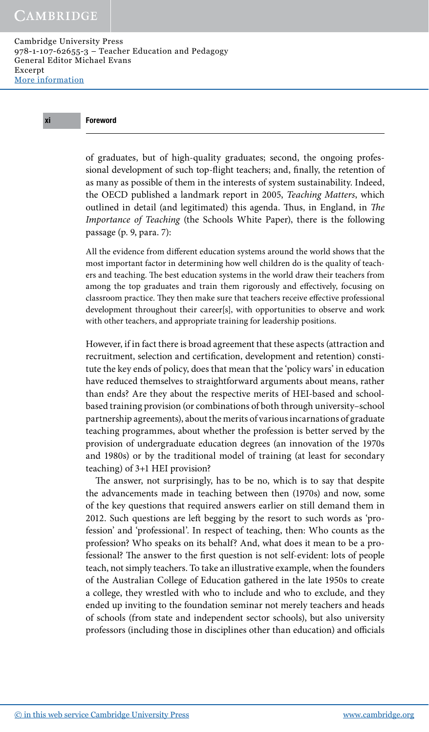# xi Foreword

of graduates, but of high-quality graduates; second, the ongoing professional development of such top-flight teachers; and, finally, the retention of as many as possible of them in the interests of system sustainability. Indeed, the OECD published a landmark report in 2005, *Teaching Matters* , which outlined in detail (and legitimated) this agenda. Thus, in England, in *The Importance of Teaching* (the Schools White Paper), there is the following passage (p. 9, para. 7):

All the evidence from different education systems around the world shows that the most important factor in determining how well children do is the quality of teachers and teaching. The best education systems in the world draw their teachers from among the top graduates and train them rigorously and effectively, focusing on classroom practice. They then make sure that teachers receive effective professional development throughout their career[s], with opportunities to observe and work with other teachers, and appropriate training for leadership positions.

 However, if in fact there is broad agreement that these aspects (attraction and recruitment, selection and certification, development and retention) constitute the key ends of policy, does that mean that the 'policy wars' in education have reduced themselves to straightforward arguments about means, rather than ends? Are they about the respective merits of HEI-based and schoolbased training provision (or combinations of both through university–school partnership agreements), about the merits of various incarnations of graduate teaching programmes, about whether the profession is better served by the provision of undergraduate education degrees (an innovation of the 1970s and 1980s) or by the traditional model of training (at least for secondary teaching) of 3+1 HEI provision?

The answer, not surprisingly, has to be no, which is to say that despite the advancements made in teaching between then (1970s) and now, some of the key questions that required answers earlier on still demand them in 2012. Such questions are left begging by the resort to such words as 'profession' and 'professional'. In respect of teaching, then: Who counts as the profession? Who speaks on its behalf? And, what does it mean to be a professional? The answer to the first question is not self-evident: lots of people teach, not simply teachers. To take an illustrative example, when the founders of the Australian College of Education gathered in the late 1950s to create a college, they wrestled with who to include and who to exclude, and they ended up inviting to the foundation seminar not merely teachers and heads of schools (from state and independent sector schools), but also university professors (including those in disciplines other than education) and officials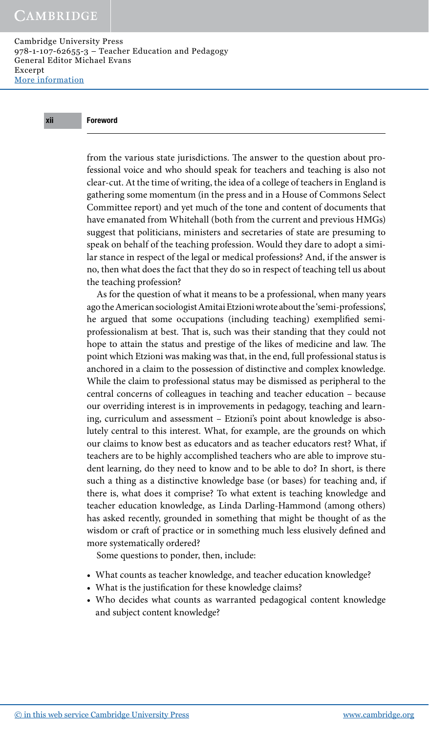# xii Foreword

from the various state jurisdictions. The answer to the question about professional voice and who should speak for teachers and teaching is also not clear-cut. At the time of writing, the idea of a college of teachers in England is gathering some momentum (in the press and in a House of Commons Select Committee report) and yet much of the tone and content of documents that have emanated from Whitehall (both from the current and previous HMGs) suggest that politicians, ministers and secretaries of state are presuming to speak on behalf of the teaching profession. Would they dare to adopt a similar stance in respect of the legal or medical professions? And, if the answer is no, then what does the fact that they do so in respect of teaching tell us about the teaching profession?

 As for the question of what it means to be a professional, when many years ago the American sociologist Amitai Etzioni wrote about the 'semi- professions', he argued that some occupations (including teaching) exemplified semiprofessionalism at best. That is, such was their standing that they could not hope to attain the status and prestige of the likes of medicine and law. The point which Etzioni was making was that, in the end, full professional status is anchored in a claim to the possession of distinctive and complex knowledge. While the claim to professional status may be dismissed as peripheral to the central concerns of colleagues in teaching and teacher education – because our overriding interest is in improvements in pedagogy, teaching and learning, curriculum and assessment – Etzioni's point about knowledge is absolutely central to this interest. What, for example, are the grounds on which our claims to know best as educators and as teacher educators rest? What, if teachers are to be highly accomplished teachers who are able to improve student learning, do they need to know and to be able to do? In short, is there such a thing as a distinctive knowledge base (or bases) for teaching and, if there is, what does it comprise? To what extent is teaching knowledge and teacher education knowledge, as Linda Darling-Hammond (among others) has asked recently, grounded in something that might be thought of as the wisdom or craft of practice or in something much less elusively defined and more systematically ordered?

Some questions to ponder, then, include:

- What counts as teacher knowledge, and teacher education knowledge?
- What is the justification for these knowledge claims?
- Who decides what counts as warranted pedagogical content knowledge and subject content knowledge?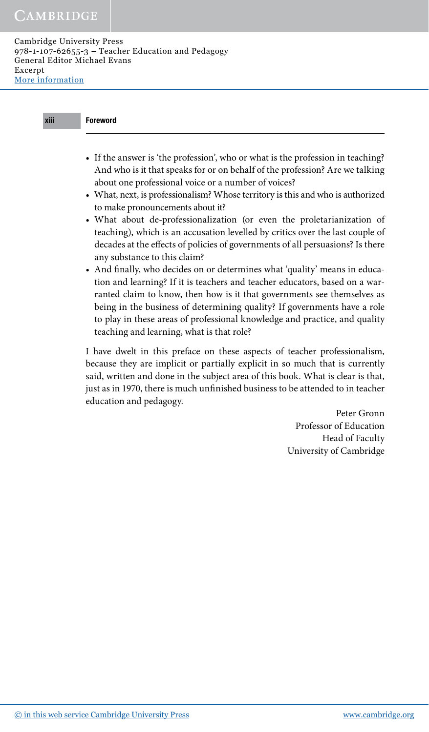| ---         |
|-------------|
|             |
| 31 I I<br>и |
|             |
|             |

# **Foreword**

- If the answer is 'the profession', who or what is the profession in teaching? And who is it that speaks for or on behalf of the profession? Are we talking about one professional voice or a number of voices?
- What, next, is professionalism? Whose territory is this and who is authorized to make pronouncements about it?
- What about de-professionalization (or even the proletarianization of teaching), which is an accusation levelled by critics over the last couple of decades at the effects of policies of governments of all persuasions? Is there any substance to this claim?
- And finally, who decides on or determines what 'quality' means in education and learning? If it is teachers and teacher educators, based on a warranted claim to know, then how is it that governments see themselves as being in the business of determining quality? If governments have a role to play in these areas of professional knowledge and practice, and quality teaching and learning, what is that role?

 I have dwelt in this preface on these aspects of teacher professionalism, because they are implicit or partially explicit in so much that is currently said, written and done in the subject area of this book. What is clear is that, just as in 1970, there is much unfinished business to be attended to in teacher education and pedagogy.

> Peter Gronn Professor of Education Head of Faculty University of Cambridge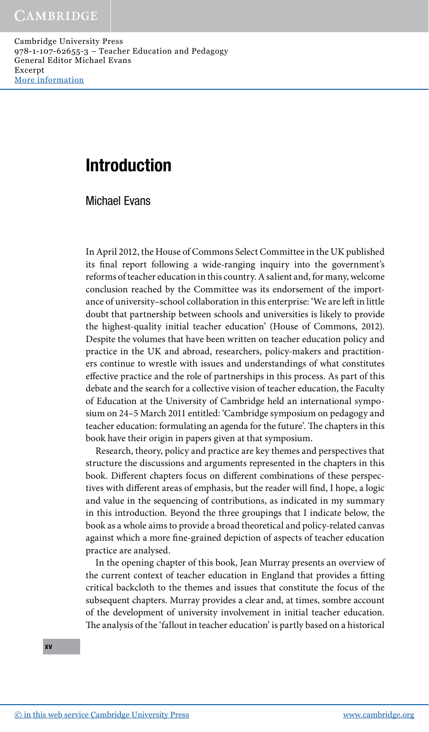# Introduction

Michael Evans

 In April 2012, the House of Commons Select Committee in the UK published its final report following a wide-ranging inquiry into the government's reforms of teacher education in this country. A salient and, for many, welcome conclusion reached by the Committee was its endorsement of the importance of university–school collaboration in this enterprise: 'We are left in little doubt that partnership between schools and universities is likely to provide the highest-quality initial teacher education' (House of Commons, 2012). Despite the volumes that have been written on teacher education policy and practice in the UK and abroad, researchers, policy-makers and practitioners continue to wrestle with issues and understandings of what constitutes effective practice and the role of partnerships in this process. As part of this debate and the search for a collective vision of teacher education, the Faculty of Education at the University of Cambridge held an international symposium on 24–5 March 2011 entitled: 'Cambridge symposium on pedagogy and teacher education: formulating an agenda for the future'. The chapters in this book have their origin in papers given at that symposium.

 Research, theory, policy and practice are key themes and perspectives that structure the discussions and arguments represented in the chapters in this book. Different chapters focus on different combinations of these perspectives with different areas of emphasis, but the reader will find, I hope, a logic and value in the sequencing of contributions, as indicated in my summary in this introduction. Beyond the three groupings that I indicate below, the book as a whole aims to provide a broad theoretical and policy-related canvas against which a more fine-grained depiction of aspects of teacher education practice are analysed.

 In the opening chapter of this book, Jean Murray presents an overview of the current context of teacher education in England that provides a fitting critical backcloth to the themes and issues that constitute the focus of the subsequent chapters. Murray provides a clear and, at times, sombre account of the development of university involvement in initial teacher education. The analysis of the 'fallout in teacher education' is partly based on a historical

xv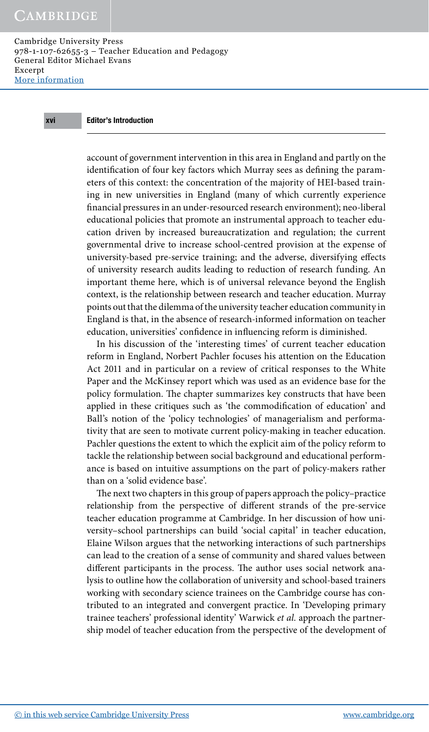# xvi Editor's Introduction

account of government intervention in this area in England and partly on the identification of four key factors which Murray sees as defining the parameters of this context: the concentration of the majority of HEI-based train ing in new universities in England (many of which currently experience financial pressures in an under-resourced research environment); neo-liberal educational policies that promote an instrumental approach to teacher education driven by increased bureaucratization and regulation; the current governmental drive to increase school-centred provision at the expense of university-based pre-service training; and the adverse, diversifying effects of university research audits leading to reduction of research funding. An important theme here, which is of universal relevance beyond the English context, is the relationship between research and teacher education. Murray points out that the dilemma of the university teacher education community in England is that, in the absence of research-informed information on teacher education, universities' confidence in influencing reform is diminished.

 In his discussion of the 'interesting times' of current teacher education reform in England, Norbert Pachler focuses his attention on the Education Act 2011 and in particular on a review of critical responses to the White Paper and the McKinsey report which was used as an evidence base for the policy formulation. The chapter summarizes key constructs that have been applied in these critiques such as 'the commodification of education' and Ball's notion of the 'policy technologies' of managerialism and performativity that are seen to motivate current policy-making in teacher education. Pachler questions the extent to which the explicit aim of the policy reform to tackle the relationship between social background and educational performance is based on intuitive assumptions on the part of policy-makers rather than on a 'solid evidence base'.

The next two chapters in this group of papers approach the policy-practice relationship from the perspective of different strands of the pre-service teacher education programme at Cambridge. In her discussion of how university–school partnerships can build 'social capital' in teacher education, Elaine Wilson argues that the networking interactions of such partnerships can lead to the creation of a sense of community and shared values between different participants in the process. The author uses social network analysis to outline how the collaboration of university and school-based trainers working with secondary science trainees on the Cambridge course has contributed to an integrated and convergent practice. In 'Developing primary trainee teachers' professional identity' Warwick *et al.* approach the partnership model of teacher education from the perspective of the development of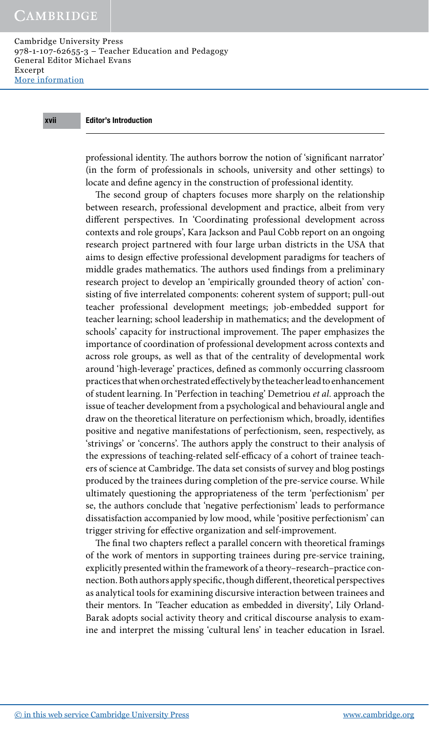# xvii Editor's Introduction

professional identity. The authors borrow the notion of 'significant narrator' (in the form of professionals in schools, university and other settings) to locate and define agency in the construction of professional identity.

The second group of chapters focuses more sharply on the relationship between research, professional development and practice, albeit from very different perspectives. In 'Coordinating professional development across contexts and role groups', Kara Jackson and Paul Cobb report on an ongoing research project partnered with four large urban districts in the USA that aims to design effective professional development paradigms for teachers of middle grades mathematics. The authors used findings from a preliminary research project to develop an 'empirically grounded theory of action' consisting of five interrelated components: coherent system of support; pull-out teacher professional development meetings; job-embedded support for teacher learning; school leadership in mathematics; and the development of schools' capacity for instructional improvement. The paper emphasizes the importance of coordination of professional development across contexts and across role groups, as well as that of the centrality of developmental work around 'high-leverage' practices, defined as commonly occurring classroom practices that when orchestrated effectively by the teacher lead to enhancement of student learning . In 'Perfection in teaching' Demetriou *et al.* approach the issue of teacher development from a psychological and behavioural angle and draw on the theoretical literature on perfectionism which, broadly, identifies positive and negative manifestations of perfectionism, seen, respectively, as 'strivings' or 'concerns'. The authors apply the construct to their analysis of the expressions of teaching-related self-efficacy of a cohort of trainee teachers of science at Cambridge. The data set consists of survey and blog postings produced by the trainees during completion of the pre-service course. While ultimately questioning the appropriateness of the term 'perfectionism' per se, the authors conclude that 'negative perfectionism' leads to performance dissatisfaction accompanied by low mood, while 'positive perfectionism' can trigger striving for effective organization and self-improvement.

The final two chapters reflect a parallel concern with theoretical framings of the work of mentors in supporting trainees during pre-service training, explicitly presented within the framework of a theory–research–practice connection. Both authors apply specific, though different, theoretical perspectives as analytical tools for examining discursive interaction between trainees and their mentors. In 'Teacher education as embedded in diversity', Lily Orland- Barak adopts social activity theory and critical discourse analysis to examine and interpret the missing 'cultural lens' in teacher education in Israel.